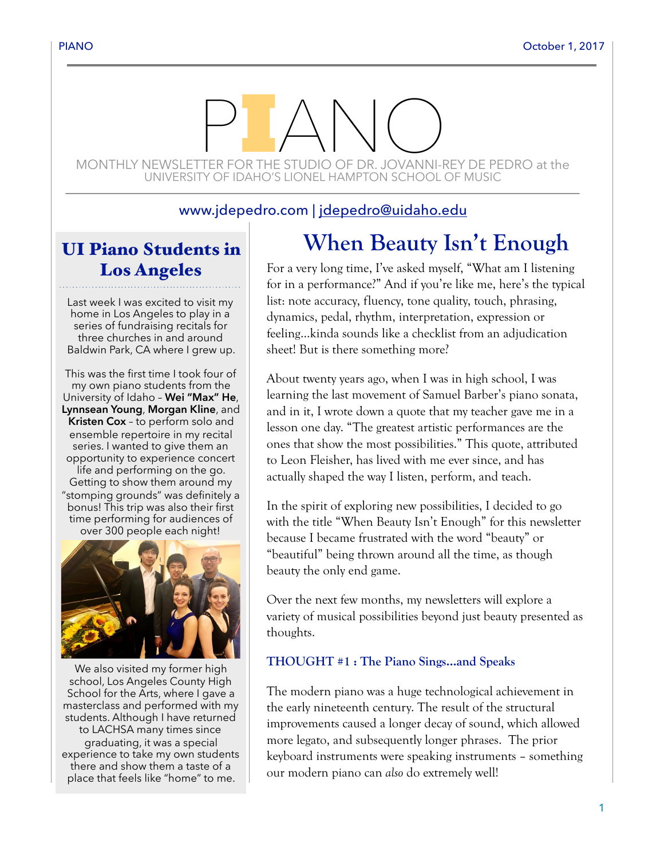MONTHLY NEWSLETTER FOR THE STUDIO OF DR. JOVANNI-REY DE PEDRO at the UNIVERSITY OF IDAHO'S LIONEL HAMPTON SCHOOL OF MUSIC

### www.jdepedro.com | [jdepedro@uidaho.edu](mailto:jdepedro@uidaho.edu)

# UI Piano Students in Los Angeles

Last week I was excited to visit my home in Los Angeles to play in a series of fundraising recitals for three churches in and around Baldwin Park, CA where I grew up.

This was the first time I took four of my own piano students from the University of Idaho – **Wei "Max" He**, **Lynnsean Young**, **Morgan Kline**, and **Kristen Cox** – to perform solo and ensemble repertoire in my recital series. I wanted to give them an opportunity to experience concert life and performing on the go. Getting to show them around my "stomping grounds" was definitely a bonus! This trip was also their first time performing for audiences of over 300 people each night!



We also visited my former high school, Los Angeles County High School for the Arts, where I gave a masterclass and performed with my students. Although I have returned to LACHSA many times since graduating, it was a special experience to take my own students there and show them a taste of a place that feels like "home" to me.

# **When Beauty Isn't Enough**

For a very long time, I've asked myself, "What am I listening for in a performance?" And if you're like me, here's the typical list: note accuracy, fluency, tone quality, touch, phrasing, dynamics, pedal, rhythm, interpretation, expression or feeling…kinda sounds like a checklist from an adjudication sheet! But is there something more?

About twenty years ago, when I was in high school, I was learning the last movement of Samuel Barber's piano sonata, and in it, I wrote down a quote that my teacher gave me in a lesson one day. "The greatest artistic performances are the ones that show the most possibilities." This quote, attributed to Leon Fleisher, has lived with me ever since, and has actually shaped the way I listen, perform, and teach.

In the spirit of exploring new possibilities, I decided to go with the title "When Beauty Isn't Enough" for this newsletter because I became frustrated with the word "beauty" or "beautiful" being thrown around all the time, as though beauty the only end game.

Over the next few months, my newsletters will explore a variety of musical possibilities beyond just beauty presented as thoughts.

#### **THOUGHT #1 : The Piano Sings...and Speaks**

The modern piano was a huge technological achievement in the early nineteenth century. The result of the structural improvements caused a longer decay of sound, which allowed more legato, and subsequently longer phrases. The prior keyboard instruments were speaking instruments – something our modern piano can *also* do extremely well!